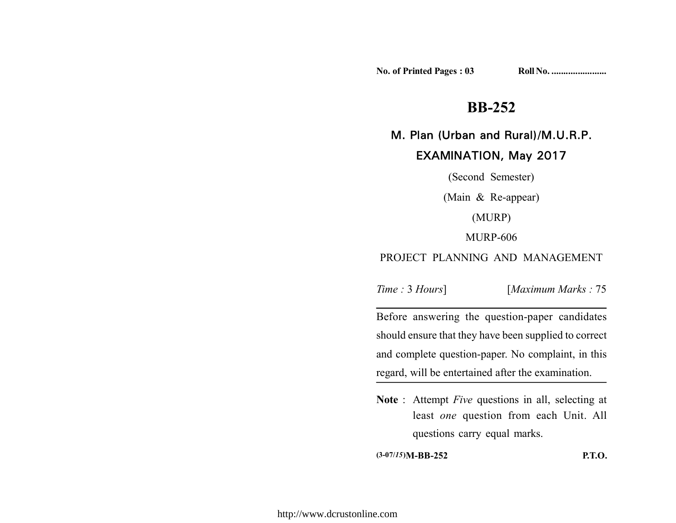**No. of Printed Pages : 03 Roll No. .......................**

# **BB-252**

## M. Plan (Urban and Rural)/M.U.R.P.

## EXAMINATION, May 2017

(Second Semester) (Main & Re-appear) (MURP) MURP-606 PROJECT PLANNING AND MANAGEMENT

*Time :* 3 *Hours*] [*Maximum Marks :* 75

Before answering the question-paper candidates should ensure that they have been supplied to correct and complete question-paper. No complaint, in this regard, will be entertained after the examination.

**Note** : Attempt *Five* questions in all, selecting at least *one* question from each Unit. All questions carry equal marks.

**(3-07/***15***)M-BB-252 P.T.O.**